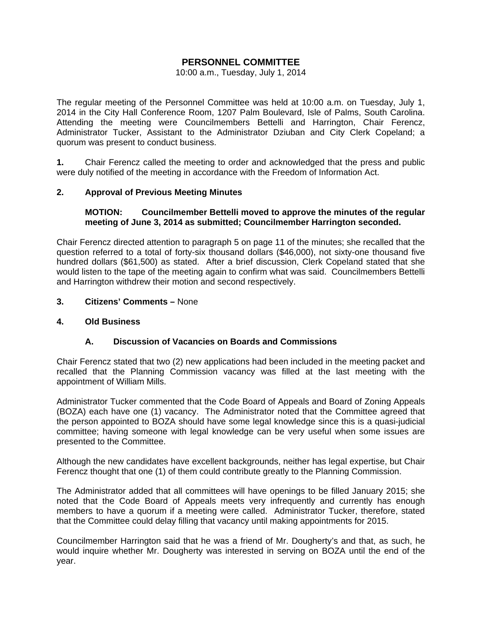# **PERSONNEL COMMITTEE**

### 10:00 a.m., Tuesday, July 1, 2014

The regular meeting of the Personnel Committee was held at 10:00 a.m. on Tuesday, July 1, 2014 in the City Hall Conference Room, 1207 Palm Boulevard, Isle of Palms, South Carolina. Attending the meeting were Councilmembers Bettelli and Harrington, Chair Ferencz, Administrator Tucker, Assistant to the Administrator Dziuban and City Clerk Copeland; a quorum was present to conduct business.

**1.** Chair Ferencz called the meeting to order and acknowledged that the press and public were duly notified of the meeting in accordance with the Freedom of Information Act.

# **2. Approval of Previous Meeting Minutes**

## **MOTION: Councilmember Bettelli moved to approve the minutes of the regular meeting of June 3, 2014 as submitted; Councilmember Harrington seconded.**

Chair Ferencz directed attention to paragraph 5 on page 11 of the minutes; she recalled that the question referred to a total of forty-six thousand dollars (\$46,000), not sixty-one thousand five hundred dollars (\$61,500) as stated. After a brief discussion, Clerk Copeland stated that she would listen to the tape of the meeting again to confirm what was said. Councilmembers Bettelli and Harrington withdrew their motion and second respectively.

# **3. Citizens' Comments –** None

# **4. Old Business**

# **A. Discussion of Vacancies on Boards and Commissions**

Chair Ferencz stated that two (2) new applications had been included in the meeting packet and recalled that the Planning Commission vacancy was filled at the last meeting with the appointment of William Mills.

Administrator Tucker commented that the Code Board of Appeals and Board of Zoning Appeals (BOZA) each have one (1) vacancy. The Administrator noted that the Committee agreed that the person appointed to BOZA should have some legal knowledge since this is a quasi-judicial committee; having someone with legal knowledge can be very useful when some issues are presented to the Committee.

Although the new candidates have excellent backgrounds, neither has legal expertise, but Chair Ferencz thought that one (1) of them could contribute greatly to the Planning Commission.

The Administrator added that all committees will have openings to be filled January 2015; she noted that the Code Board of Appeals meets very infrequently and currently has enough members to have a quorum if a meeting were called. Administrator Tucker, therefore, stated that the Committee could delay filling that vacancy until making appointments for 2015.

Councilmember Harrington said that he was a friend of Mr. Dougherty's and that, as such, he would inquire whether Mr. Dougherty was interested in serving on BOZA until the end of the year.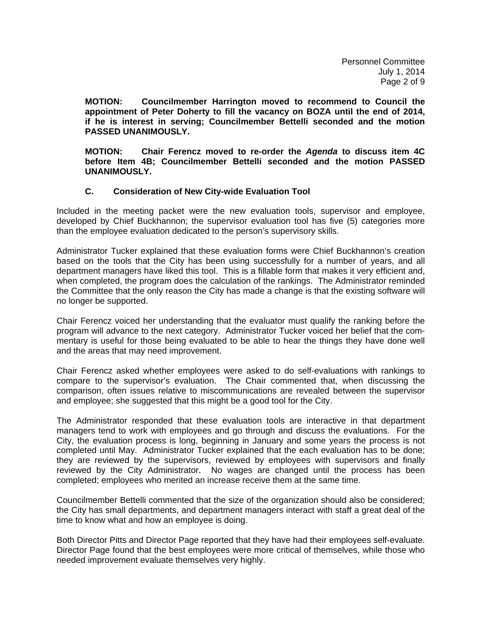**MOTION: Councilmember Harrington moved to recommend to Council the appointment of Peter Doherty to fill the vacancy on BOZA until the end of 2014, if he is interest in serving; Councilmember Bettelli seconded and the motion PASSED UNANIMOUSLY.** 

**MOTION: Chair Ferencz moved to re-order the** *Agenda* **to discuss item 4C before Item 4B; Councilmember Bettelli seconded and the motion PASSED UNANIMOUSLY.** 

# **C. Consideration of New City-wide Evaluation Tool**

Included in the meeting packet were the new evaluation tools, supervisor and employee, developed by Chief Buckhannon; the supervisor evaluation tool has five (5) categories more than the employee evaluation dedicated to the person's supervisory skills.

Administrator Tucker explained that these evaluation forms were Chief Buckhannon's creation based on the tools that the City has been using successfully for a number of years, and all department managers have liked this tool. This is a fillable form that makes it very efficient and, when completed, the program does the calculation of the rankings. The Administrator reminded the Committee that the only reason the City has made a change is that the existing software will no longer be supported.

Chair Ferencz voiced her understanding that the evaluator must qualify the ranking before the program will advance to the next category. Administrator Tucker voiced her belief that the commentary is useful for those being evaluated to be able to hear the things they have done well and the areas that may need improvement.

Chair Ferencz asked whether employees were asked to do self-evaluations with rankings to compare to the supervisor's evaluation. The Chair commented that, when discussing the comparison, often issues relative to miscommunications are revealed between the supervisor and employee; she suggested that this might be a good tool for the City.

The Administrator responded that these evaluation tools are interactive in that department managers tend to work with employees and go through and discuss the evaluations. For the City, the evaluation process is long, beginning in January and some years the process is not completed until May. Administrator Tucker explained that the each evaluation has to be done; they are reviewed by the supervisors, reviewed by employees with supervisors and finally reviewed by the City Administrator. No wages are changed until the process has been completed; employees who merited an increase receive them at the same time.

Councilmember Bettelli commented that the size of the organization should also be considered; the City has small departments, and department managers interact with staff a great deal of the time to know what and how an employee is doing.

Both Director Pitts and Director Page reported that they have had their employees self-evaluate. Director Page found that the best employees were more critical of themselves, while those who needed improvement evaluate themselves very highly.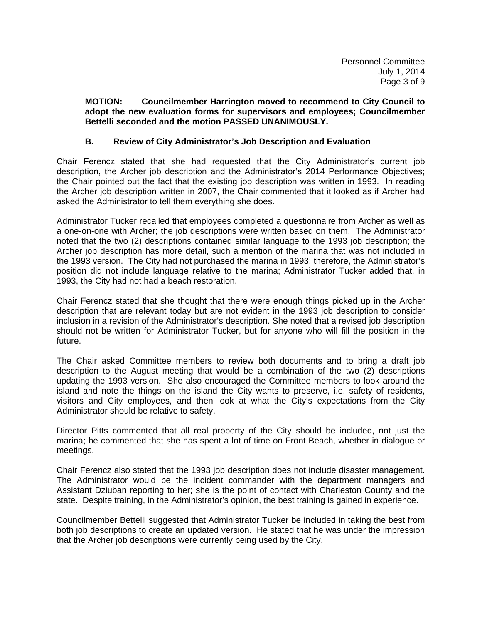### **MOTION: Councilmember Harrington moved to recommend to City Council to adopt the new evaluation forms for supervisors and employees; Councilmember Bettelli seconded and the motion PASSED UNANIMOUSLY.**

# **B. Review of City Administrator's Job Description and Evaluation**

Chair Ferencz stated that she had requested that the City Administrator's current job description, the Archer job description and the Administrator's 2014 Performance Objectives; the Chair pointed out the fact that the existing job description was written in 1993. In reading the Archer job description written in 2007, the Chair commented that it looked as if Archer had asked the Administrator to tell them everything she does.

Administrator Tucker recalled that employees completed a questionnaire from Archer as well as a one-on-one with Archer; the job descriptions were written based on them. The Administrator noted that the two (2) descriptions contained similar language to the 1993 job description; the Archer job description has more detail, such a mention of the marina that was not included in the 1993 version. The City had not purchased the marina in 1993; therefore, the Administrator's position did not include language relative to the marina; Administrator Tucker added that, in 1993, the City had not had a beach restoration.

Chair Ferencz stated that she thought that there were enough things picked up in the Archer description that are relevant today but are not evident in the 1993 job description to consider inclusion in a revision of the Administrator's description. She noted that a revised job description should not be written for Administrator Tucker, but for anyone who will fill the position in the future.

The Chair asked Committee members to review both documents and to bring a draft job description to the August meeting that would be a combination of the two (2) descriptions updating the 1993 version. She also encouraged the Committee members to look around the island and note the things on the island the City wants to preserve, i.e. safety of residents, visitors and City employees, and then look at what the City's expectations from the City Administrator should be relative to safety.

Director Pitts commented that all real property of the City should be included, not just the marina; he commented that she has spent a lot of time on Front Beach, whether in dialogue or meetings.

Chair Ferencz also stated that the 1993 job description does not include disaster management. The Administrator would be the incident commander with the department managers and Assistant Dziuban reporting to her; she is the point of contact with Charleston County and the state. Despite training, in the Administrator's opinion, the best training is gained in experience.

Councilmember Bettelli suggested that Administrator Tucker be included in taking the best from both job descriptions to create an updated version. He stated that he was under the impression that the Archer job descriptions were currently being used by the City.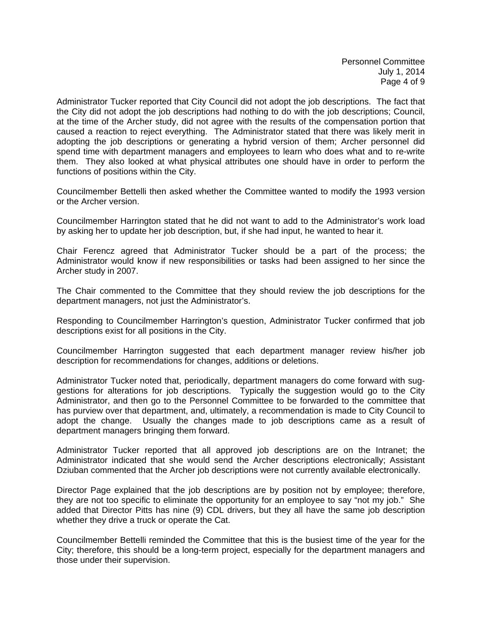Administrator Tucker reported that City Council did not adopt the job descriptions. The fact that the City did not adopt the job descriptions had nothing to do with the job descriptions; Council, at the time of the Archer study, did not agree with the results of the compensation portion that caused a reaction to reject everything. The Administrator stated that there was likely merit in adopting the job descriptions or generating a hybrid version of them; Archer personnel did spend time with department managers and employees to learn who does what and to re-write them. They also looked at what physical attributes one should have in order to perform the functions of positions within the City.

Councilmember Bettelli then asked whether the Committee wanted to modify the 1993 version or the Archer version.

Councilmember Harrington stated that he did not want to add to the Administrator's work load by asking her to update her job description, but, if she had input, he wanted to hear it.

Chair Ferencz agreed that Administrator Tucker should be a part of the process; the Administrator would know if new responsibilities or tasks had been assigned to her since the Archer study in 2007.

The Chair commented to the Committee that they should review the job descriptions for the department managers, not just the Administrator's.

Responding to Councilmember Harrington's question, Administrator Tucker confirmed that job descriptions exist for all positions in the City.

Councilmember Harrington suggested that each department manager review his/her job description for recommendations for changes, additions or deletions.

Administrator Tucker noted that, periodically, department managers do come forward with suggestions for alterations for job descriptions. Typically the suggestion would go to the City Administrator, and then go to the Personnel Committee to be forwarded to the committee that has purview over that department, and, ultimately, a recommendation is made to City Council to adopt the change. Usually the changes made to job descriptions came as a result of department managers bringing them forward.

Administrator Tucker reported that all approved job descriptions are on the Intranet; the Administrator indicated that she would send the Archer descriptions electronically; Assistant Dziuban commented that the Archer job descriptions were not currently available electronically.

Director Page explained that the job descriptions are by position not by employee; therefore, they are not too specific to eliminate the opportunity for an employee to say "not my job." She added that Director Pitts has nine (9) CDL drivers, but they all have the same job description whether they drive a truck or operate the Cat.

Councilmember Bettelli reminded the Committee that this is the busiest time of the year for the City; therefore, this should be a long-term project, especially for the department managers and those under their supervision.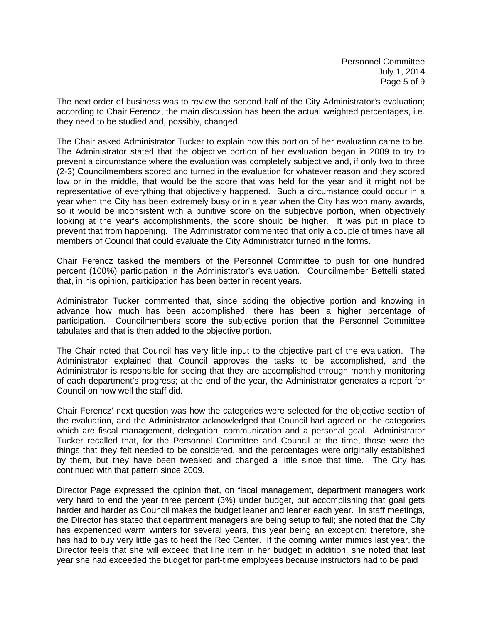The next order of business was to review the second half of the City Administrator's evaluation; according to Chair Ferencz, the main discussion has been the actual weighted percentages, i.e. they need to be studied and, possibly, changed.

The Chair asked Administrator Tucker to explain how this portion of her evaluation came to be. The Administrator stated that the objective portion of her evaluation began in 2009 to try to prevent a circumstance where the evaluation was completely subjective and, if only two to three (2-3) Councilmembers scored and turned in the evaluation for whatever reason and they scored low or in the middle, that would be the score that was held for the year and it might not be representative of everything that objectively happened. Such a circumstance could occur in a year when the City has been extremely busy or in a year when the City has won many awards, so it would be inconsistent with a punitive score on the subjective portion, when objectively looking at the year's accomplishments, the score should be higher. It was put in place to prevent that from happening. The Administrator commented that only a couple of times have all members of Council that could evaluate the City Administrator turned in the forms.

Chair Ferencz tasked the members of the Personnel Committee to push for one hundred percent (100%) participation in the Administrator's evaluation. Councilmember Bettelli stated that, in his opinion, participation has been better in recent years.

Administrator Tucker commented that, since adding the objective portion and knowing in advance how much has been accomplished, there has been a higher percentage of participation. Councilmembers score the subjective portion that the Personnel Committee tabulates and that is then added to the objective portion.

The Chair noted that Council has very little input to the objective part of the evaluation. The Administrator explained that Council approves the tasks to be accomplished, and the Administrator is responsible for seeing that they are accomplished through monthly monitoring of each department's progress; at the end of the year, the Administrator generates a report for Council on how well the staff did.

Chair Ferencz' next question was how the categories were selected for the objective section of the evaluation, and the Administrator acknowledged that Council had agreed on the categories which are fiscal management, delegation, communication and a personal goal. Administrator Tucker recalled that, for the Personnel Committee and Council at the time, those were the things that they felt needed to be considered, and the percentages were originally established by them, but they have been tweaked and changed a little since that time. The City has continued with that pattern since 2009.

Director Page expressed the opinion that, on fiscal management, department managers work very hard to end the year three percent (3%) under budget, but accomplishing that goal gets harder and harder as Council makes the budget leaner and leaner each year. In staff meetings, the Director has stated that department managers are being setup to fail; she noted that the City has experienced warm winters for several years, this year being an exception; therefore, she has had to buy very little gas to heat the Rec Center. If the coming winter mimics last year, the Director feels that she will exceed that line item in her budget; in addition, she noted that last year she had exceeded the budget for part-time employees because instructors had to be paid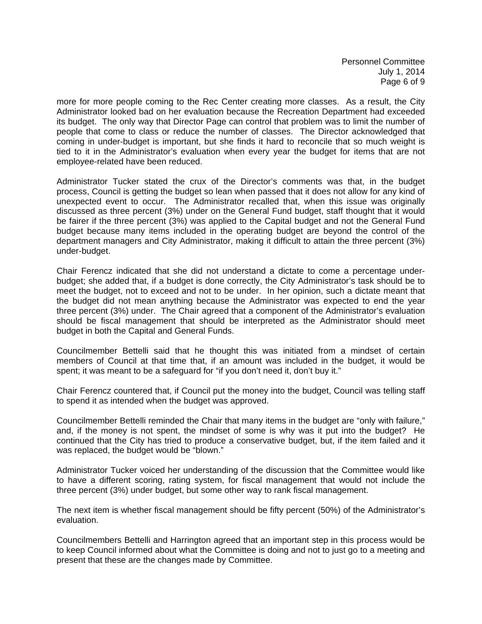Personnel Committee July 1, 2014 Page 6 of 9

more for more people coming to the Rec Center creating more classes. As a result, the City Administrator looked bad on her evaluation because the Recreation Department had exceeded its budget. The only way that Director Page can control that problem was to limit the number of people that come to class or reduce the number of classes. The Director acknowledged that coming in under-budget is important, but she finds it hard to reconcile that so much weight is tied to it in the Administrator's evaluation when every year the budget for items that are not employee-related have been reduced.

Administrator Tucker stated the crux of the Director's comments was that, in the budget process, Council is getting the budget so lean when passed that it does not allow for any kind of unexpected event to occur. The Administrator recalled that, when this issue was originally discussed as three percent (3%) under on the General Fund budget, staff thought that it would be fairer if the three percent (3%) was applied to the Capital budget and not the General Fund budget because many items included in the operating budget are beyond the control of the department managers and City Administrator, making it difficult to attain the three percent (3%) under-budget.

Chair Ferencz indicated that she did not understand a dictate to come a percentage underbudget; she added that, if a budget is done correctly, the City Administrator's task should be to meet the budget, not to exceed and not to be under. In her opinion, such a dictate meant that the budget did not mean anything because the Administrator was expected to end the year three percent (3%) under. The Chair agreed that a component of the Administrator's evaluation should be fiscal management that should be interpreted as the Administrator should meet budget in both the Capital and General Funds.

Councilmember Bettelli said that he thought this was initiated from a mindset of certain members of Council at that time that, if an amount was included in the budget, it would be spent; it was meant to be a safeguard for "if you don't need it, don't buy it."

Chair Ferencz countered that, if Council put the money into the budget, Council was telling staff to spend it as intended when the budget was approved.

Councilmember Bettelli reminded the Chair that many items in the budget are "only with failure," and, if the money is not spent, the mindset of some is why was it put into the budget? He continued that the City has tried to produce a conservative budget, but, if the item failed and it was replaced, the budget would be "blown."

Administrator Tucker voiced her understanding of the discussion that the Committee would like to have a different scoring, rating system, for fiscal management that would not include the three percent (3%) under budget, but some other way to rank fiscal management.

The next item is whether fiscal management should be fifty percent (50%) of the Administrator's evaluation.

Councilmembers Bettelli and Harrington agreed that an important step in this process would be to keep Council informed about what the Committee is doing and not to just go to a meeting and present that these are the changes made by Committee.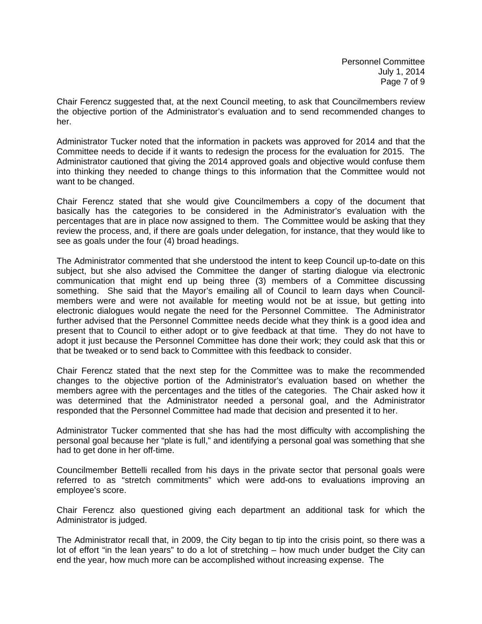Chair Ferencz suggested that, at the next Council meeting, to ask that Councilmembers review the objective portion of the Administrator's evaluation and to send recommended changes to her.

Administrator Tucker noted that the information in packets was approved for 2014 and that the Committee needs to decide if it wants to redesign the process for the evaluation for 2015. The Administrator cautioned that giving the 2014 approved goals and objective would confuse them into thinking they needed to change things to this information that the Committee would not want to be changed.

Chair Ferencz stated that she would give Councilmembers a copy of the document that basically has the categories to be considered in the Administrator's evaluation with the percentages that are in place now assigned to them. The Committee would be asking that they review the process, and, if there are goals under delegation, for instance, that they would like to see as goals under the four (4) broad headings.

The Administrator commented that she understood the intent to keep Council up-to-date on this subject, but she also advised the Committee the danger of starting dialogue via electronic communication that might end up being three (3) members of a Committee discussing something. She said that the Mayor's emailing all of Council to learn days when Councilmembers were and were not available for meeting would not be at issue, but getting into electronic dialogues would negate the need for the Personnel Committee. The Administrator further advised that the Personnel Committee needs decide what they think is a good idea and present that to Council to either adopt or to give feedback at that time. They do not have to adopt it just because the Personnel Committee has done their work; they could ask that this or that be tweaked or to send back to Committee with this feedback to consider.

Chair Ferencz stated that the next step for the Committee was to make the recommended changes to the objective portion of the Administrator's evaluation based on whether the members agree with the percentages and the titles of the categories. The Chair asked how it was determined that the Administrator needed a personal goal, and the Administrator responded that the Personnel Committee had made that decision and presented it to her.

Administrator Tucker commented that she has had the most difficulty with accomplishing the personal goal because her "plate is full," and identifying a personal goal was something that she had to get done in her off-time.

Councilmember Bettelli recalled from his days in the private sector that personal goals were referred to as "stretch commitments" which were add-ons to evaluations improving an employee's score.

Chair Ferencz also questioned giving each department an additional task for which the Administrator is judged.

The Administrator recall that, in 2009, the City began to tip into the crisis point, so there was a lot of effort "in the lean years" to do a lot of stretching – how much under budget the City can end the year, how much more can be accomplished without increasing expense. The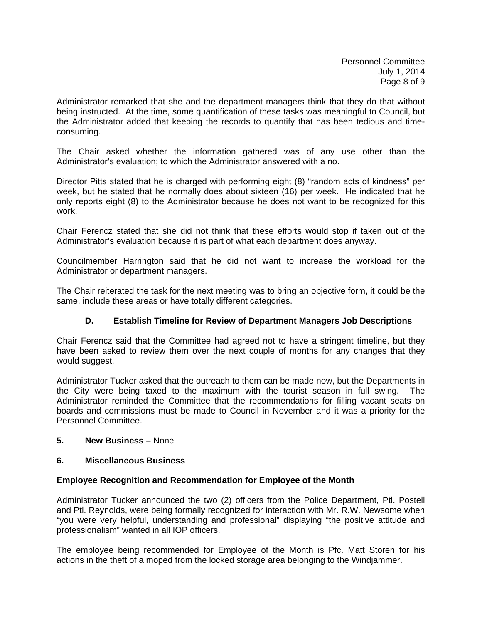Administrator remarked that she and the department managers think that they do that without being instructed. At the time, some quantification of these tasks was meaningful to Council, but the Administrator added that keeping the records to quantify that has been tedious and timeconsuming.

The Chair asked whether the information gathered was of any use other than the Administrator's evaluation; to which the Administrator answered with a no.

Director Pitts stated that he is charged with performing eight (8) "random acts of kindness" per week, but he stated that he normally does about sixteen (16) per week. He indicated that he only reports eight (8) to the Administrator because he does not want to be recognized for this work.

Chair Ferencz stated that she did not think that these efforts would stop if taken out of the Administrator's evaluation because it is part of what each department does anyway.

Councilmember Harrington said that he did not want to increase the workload for the Administrator or department managers.

The Chair reiterated the task for the next meeting was to bring an objective form, it could be the same, include these areas or have totally different categories.

# **D. Establish Timeline for Review of Department Managers Job Descriptions**

Chair Ferencz said that the Committee had agreed not to have a stringent timeline, but they have been asked to review them over the next couple of months for any changes that they would suggest.

Administrator Tucker asked that the outreach to them can be made now, but the Departments in the City were being taxed to the maximum with the tourist season in full swing. The Administrator reminded the Committee that the recommendations for filling vacant seats on boards and commissions must be made to Council in November and it was a priority for the Personnel Committee.

# **5. New Business –** None

# **6. Miscellaneous Business**

#### **Employee Recognition and Recommendation for Employee of the Month**

Administrator Tucker announced the two (2) officers from the Police Department, Ptl. Postell and Ptl. Reynolds, were being formally recognized for interaction with Mr. R.W. Newsome when "you were very helpful, understanding and professional" displaying "the positive attitude and professionalism" wanted in all IOP officers.

The employee being recommended for Employee of the Month is Pfc. Matt Storen for his actions in the theft of a moped from the locked storage area belonging to the Windjammer.